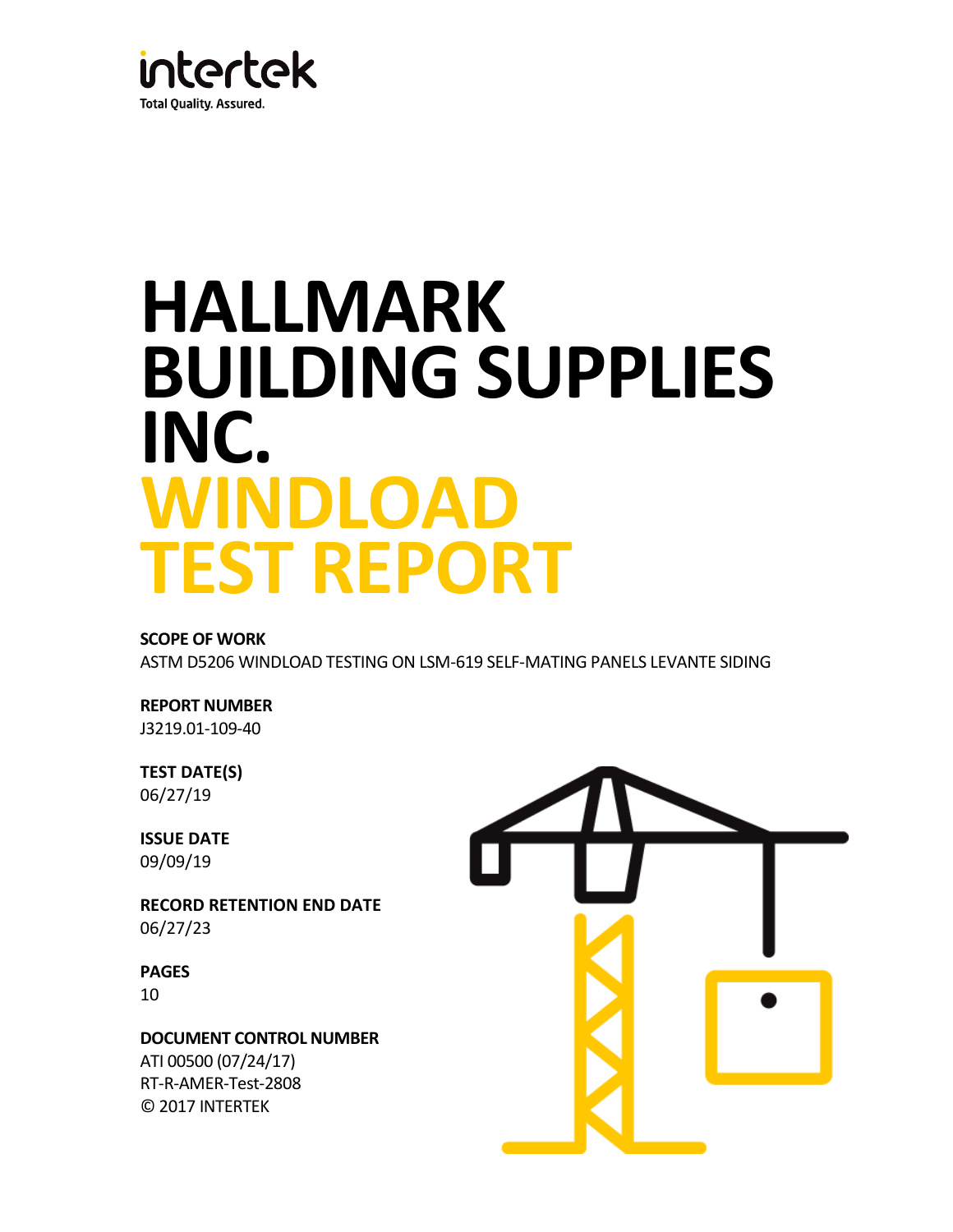

# **HALLMARK BUILDING SUPPLIES INC. WINDLOAD TEST REPORT**

# **SCOPE OF WORK**

ASTM D5206 WINDLOAD TESTING ON LSM-619 SELF-MATING PANELS LEVANTE SIDING

# **REPORT NUMBER**

J3219.01-109-40

# **TEST DATE(S)** 06/27/19

**ISSUE DATE** 09/09/19

**RECORD RETENTION END DATE** 06/27/23

**PAGES** 10

**DOCUMENT CONTROL NUMBER** ATI 00500 (07/24/17) RT-R-AMER-Test-2808 © 2017 INTERTEK

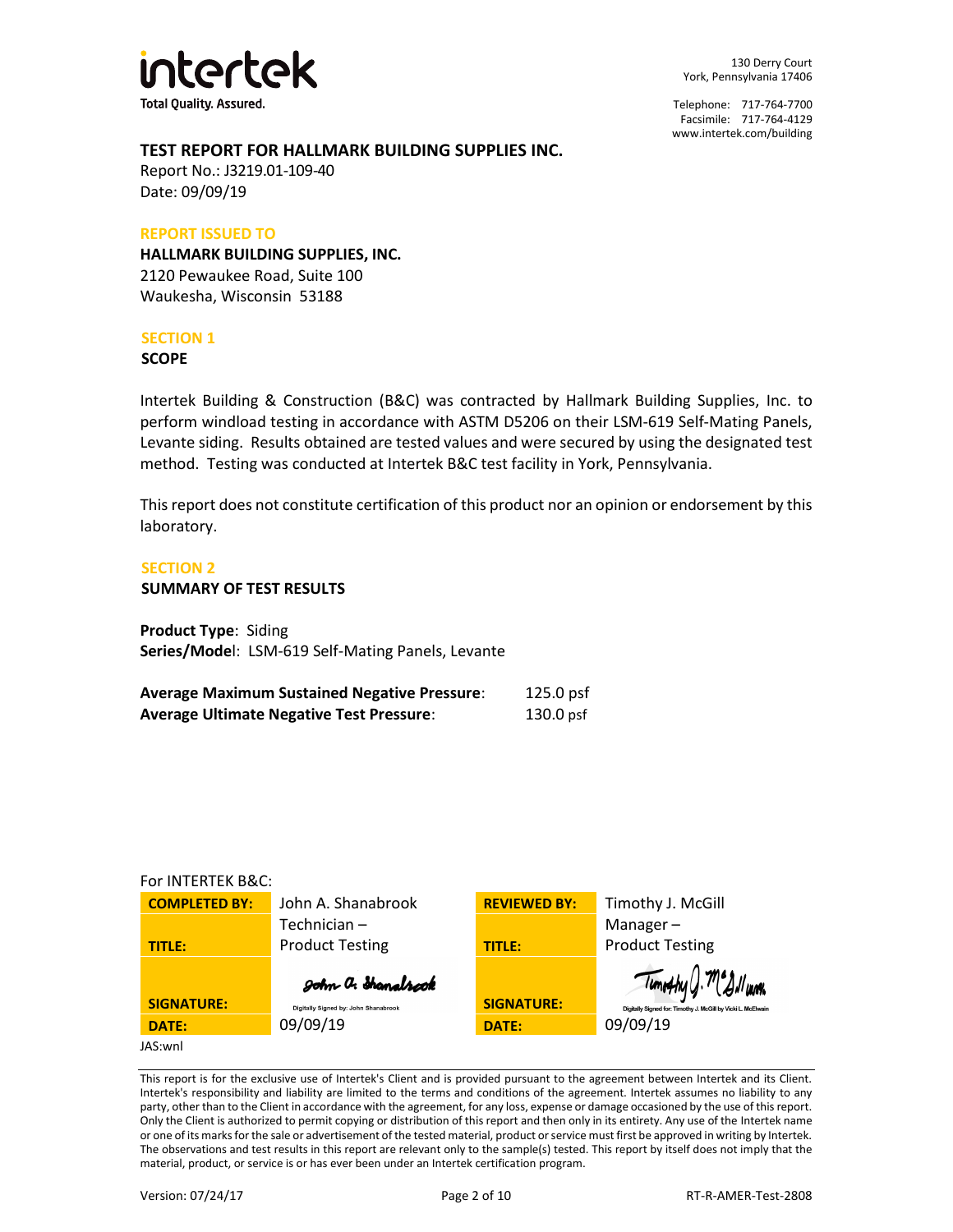

Telephone: 717-764-7700 Facsimile: 717-764-4129 [www.intertek.com/building](http://www.intertek.com/building)

#### **TEST REPORT FOR HALLMARK BUILDING SUPPLIES INC.**

Report No.: J3219.01-109-40 Date: 09/09/19

#### **REPORT ISSUED TO**

**HALLMARK BUILDING SUPPLIES, INC.** 2120 Pewaukee Road, Suite 100 Waukesha, Wisconsin 53188

#### **SECTION 1**

**SCOPE**

Intertek Building & Construction (B&C) was contracted by Hallmark Building Supplies, Inc. to perform windload testing in accordance with ASTM D5206 on their LSM-619 Self-Mating Panels, Levante siding. Results obtained are tested values and were secured by using the designated test method. Testing was conducted at Intertek B&C test facility in York, Pennsylvania.

This report does not constitute certification of this product nor an opinion or endorsement by this laboratory.

#### **SECTION 2**

**SUMMARY OF TEST RESULTS**

**Product Type**: Siding **Series/Mode**l: LSM-619 Self-Mating Panels, Levante

| <b>Average Maximum Sustained Negative Pressure:</b> | $125.0$ psf |
|-----------------------------------------------------|-------------|
| <b>Average Ultimate Negative Test Pressure:</b>     | $130.0$ psf |

#### For INTERTEK B&C:

| <b>COMPLETED BY:</b> | John A. Shanabrook                   | <b>REVIEWED BY:</b> | Timothy J. McGill                                            |
|----------------------|--------------------------------------|---------------------|--------------------------------------------------------------|
|                      | Technician-                          |                     | Manager $-$                                                  |
| TITLE:               | <b>Product Testing</b>               | <b>TITLE:</b>       | <b>Product Testing</b>                                       |
|                      | John a. Shanalrock                   |                     | Timothy J. Megilvann                                         |
| <b>SIGNATURE:</b>    | Digitally Signed by: John Shanabrook | <b>SIGNATURE:</b>   | Digitally Signed for: Timothy J. McGill by Vicki L. McElwair |
| DATE:                | 09/09/19                             | DATE:               | 09/09/19                                                     |
| JAS:wnl              |                                      |                     |                                                              |

This report is for the exclusive use of Intertek's Client and is provided pursuant to the agreement between Intertek and its Client. Intertek's responsibility and liability are limited to the terms and conditions of the agreement. Intertek assumes no liability to any party, other than to the Client in accordance with the agreement, for any loss, expense or damage occasioned by the use of this report. Only the Client is authorized to permit copying or distribution of this report and then only in its entirety. Any use of the Intertek name or one of its marks for the sale or advertisement of the tested material, product or service must first be approved in writing by Intertek. The observations and test results in this report are relevant only to the sample(s) tested. This report by itself does not imply that the material, product, or service is or has ever been under an Intertek certification program.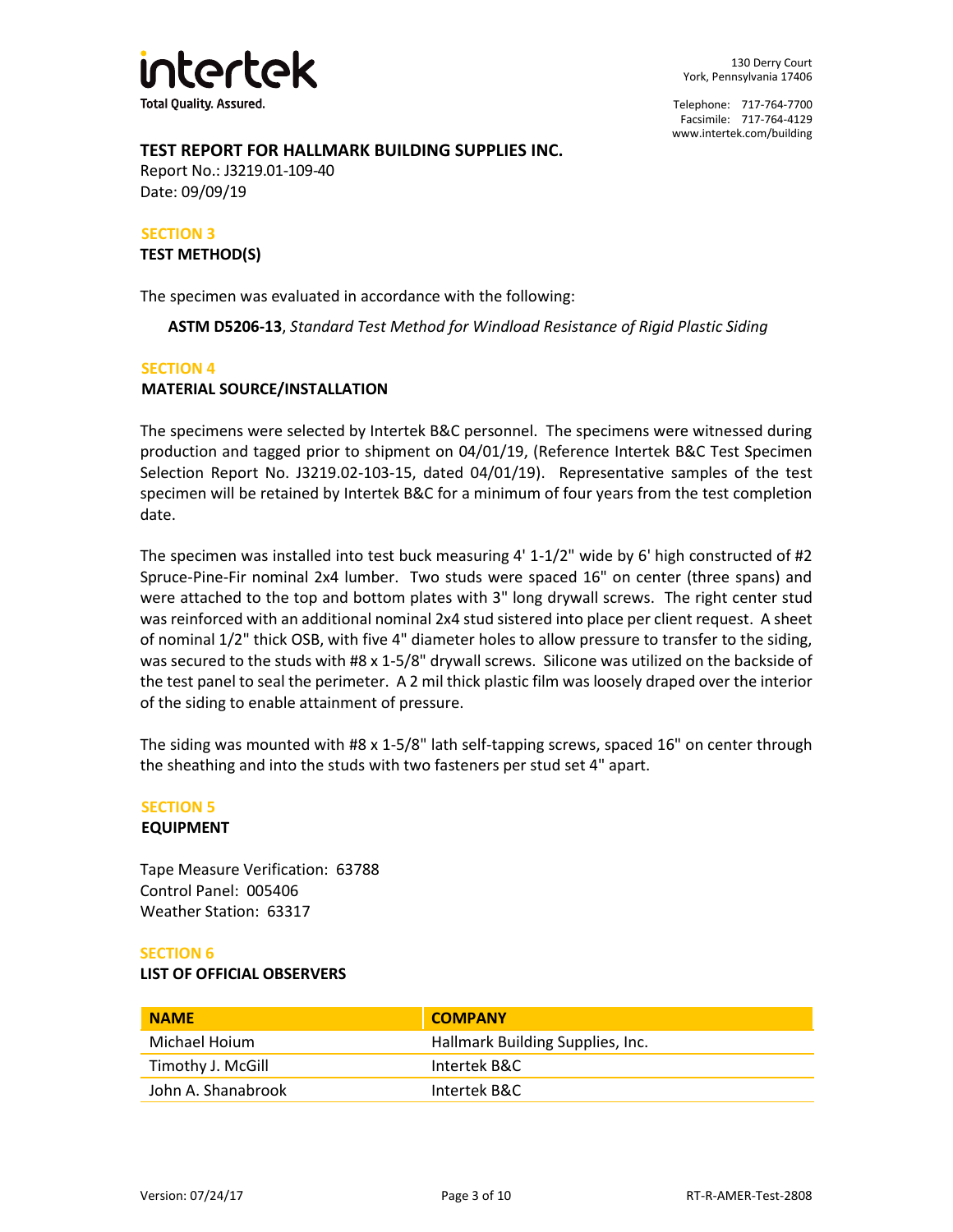

#### **TEST REPORT FOR HALLMARK BUILDING SUPPLIES INC.**

Report No.: J3219.01-109-40 Date: 09/09/19

# **SECTION 3**

**TEST METHOD(S)**

The specimen was evaluated in accordance with the following:

**ASTM D5206-13**, *Standard Test Method for Windload Resistance of Rigid Plastic Siding* 

#### **SECTION 4**

#### **MATERIAL SOURCE/INSTALLATION**

The specimens were selected by Intertek B&C personnel. The specimens were witnessed during production and tagged prior to shipment on 04/01/19, (Reference Intertek B&C Test Specimen Selection Report No. J3219.02-103-15, dated 04/01/19). Representative samples of the test specimen will be retained by Intertek B&C for a minimum of four years from the test completion date.

The specimen was installed into test buck measuring 4' 1-1/2" wide by 6' high constructed of #2 Spruce-Pine-Fir nominal 2x4 lumber. Two studs were spaced 16" on center (three spans) and were attached to the top and bottom plates with 3" long drywall screws. The right center stud was reinforced with an additional nominal 2x4 stud sistered into place per client request. A sheet of nominal 1/2" thick OSB, with five 4" diameter holes to allow pressure to transfer to the siding, was secured to the studs with #8 x 1-5/8" drywall screws. Silicone was utilized on the backside of the test panel to seal the perimeter. A 2 mil thick plastic film was loosely draped over the interior of the siding to enable attainment of pressure.

The siding was mounted with #8 x 1-5/8" lath self-tapping screws, spaced 16" on center through the sheathing and into the studs with two fasteners per stud set 4" apart.

## **SECTION 5**

#### **EQUIPMENT**

Tape Measure Verification: 63788 Control Panel: 005406 Weather Station: 63317

#### **SECTION 6**

#### **LIST OF OFFICIAL OBSERVERS**

| <b>NAME</b>        | <b>COMPANY</b>                   |
|--------------------|----------------------------------|
| Michael Hoium      | Hallmark Building Supplies, Inc. |
| Timothy J. McGill  | Intertek B&C                     |
| John A. Shanabrook | Intertek B&C                     |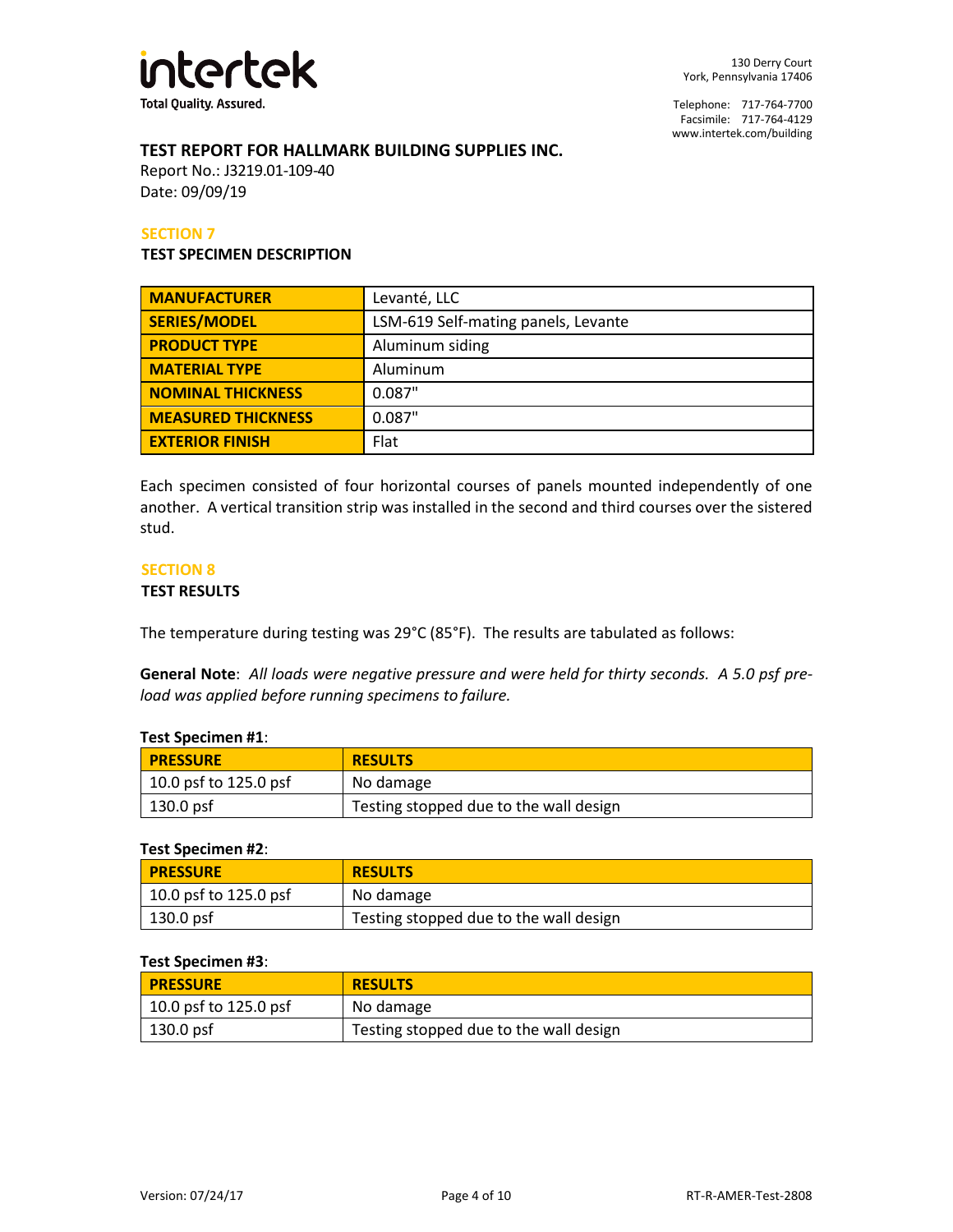

#### **TEST REPORT FOR HALLMARK BUILDING SUPPLIES INC.**

Report No.: J3219.01-109-40 Date: 09/09/19

#### **SECTION 7**

#### **TEST SPECIMEN DESCRIPTION**

| <b>MANUFACTURER</b>       | Levanté, LLC                        |  |
|---------------------------|-------------------------------------|--|
| <b>SERIES/MODEL</b>       | LSM-619 Self-mating panels, Levante |  |
| <b>PRODUCT TYPE</b>       | Aluminum siding                     |  |
| <b>MATERIAL TYPE</b>      | Aluminum                            |  |
| <b>NOMINAL THICKNESS</b>  | 0.087"                              |  |
| <b>MEASURED THICKNESS</b> | 0.087"                              |  |
| <b>EXTERIOR FINISH</b>    | Flat                                |  |

Each specimen consisted of four horizontal courses of panels mounted independently of one another. A vertical transition strip was installed in the second and third courses over the sistered stud.

#### **SECTION 8**

#### **TEST RESULTS**

The temperature during testing was 29°C (85°F). The results are tabulated as follows:

**General Note**: *All loads were negative pressure and were held for thirty seconds. A 5.0 psf preload was applied before running specimens to failure.*

#### **Test Specimen #1**:

| <b>PRESSURE</b>               | <b>RESULTS</b>                         |
|-------------------------------|----------------------------------------|
| $\vert$ 10.0 psf to 125.0 psf | No damage                              |
| $\vert$ 130.0 psf             | Testing stopped due to the wall design |

#### **Test Specimen #2**:

| <b>PRESSURE</b>       | <b>RESULTS</b>                         |
|-----------------------|----------------------------------------|
| 10.0 psf to 125.0 psf | No damage                              |
| 130.0 psf             | Testing stopped due to the wall design |

#### **Test Specimen #3**:

| <b>PRESSURE</b>         | <b>RESULTS</b>                         |
|-------------------------|----------------------------------------|
| $10.0$ psf to 125.0 psf | No damage                              |
| $\vert$ 130.0 psf       | Testing stopped due to the wall design |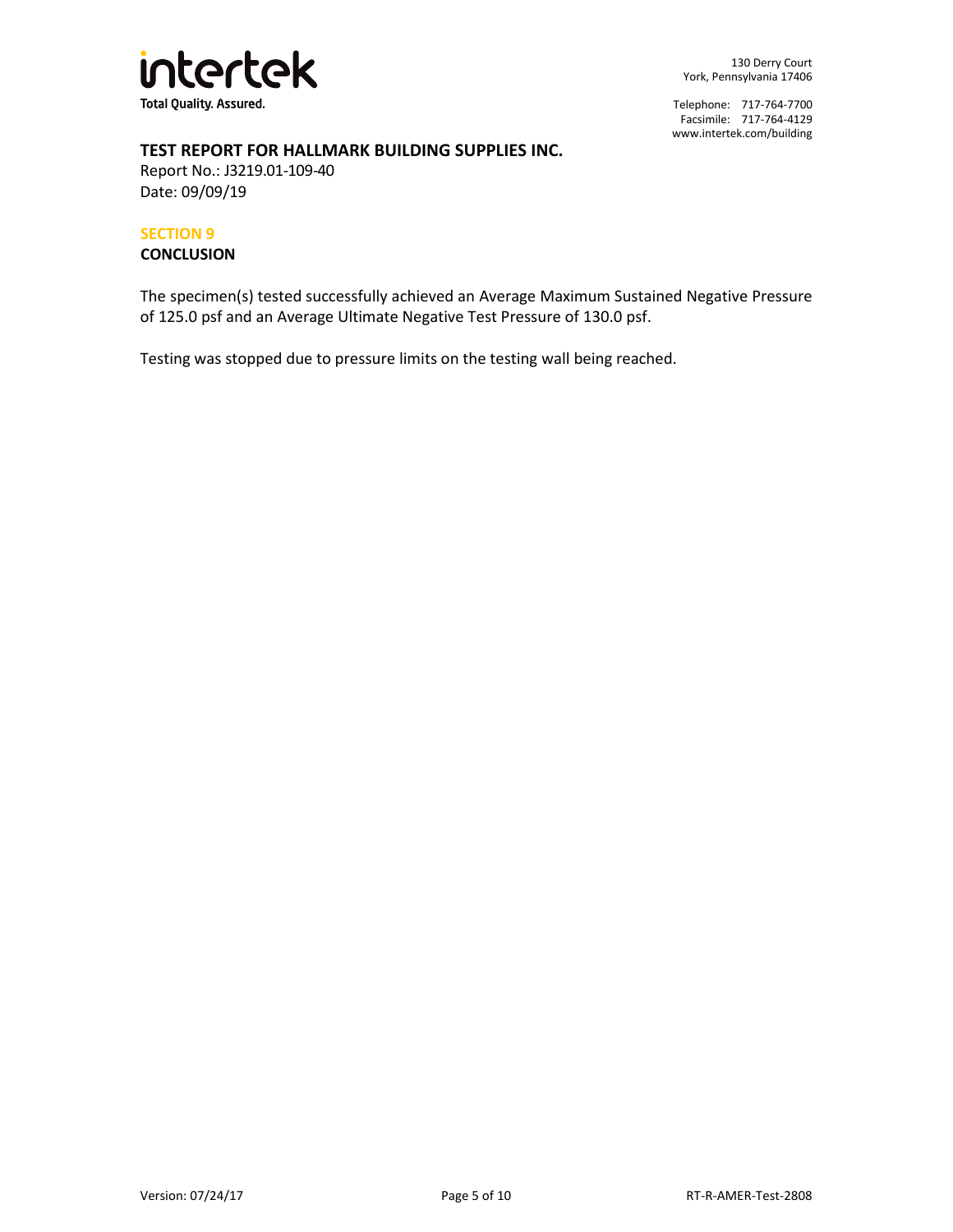

## **TEST REPORT FOR HALLMARK BUILDING SUPPLIES INC.**

Report No.: J3219.01-109-40 Date: 09/09/19

#### **SECTION 9**

#### **CONCLUSION**

The specimen(s) tested successfully achieved an Average Maximum Sustained Negative Pressure of 125.0 psf and an Average Ultimate Negative Test Pressure of 130.0 psf.

Testing was stopped due to pressure limits on the testing wall being reached.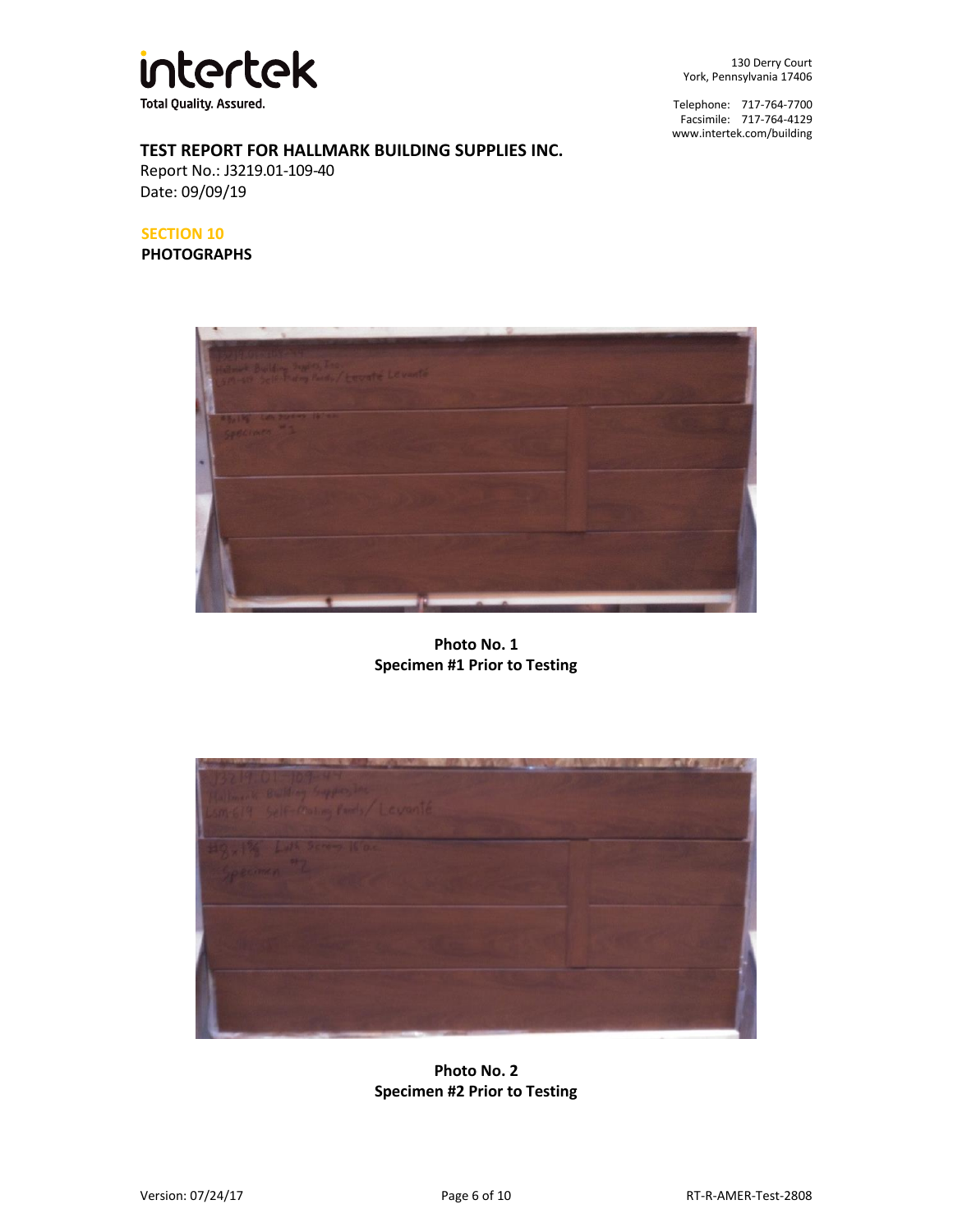

Telephone: 717-764-7700 Facsimile: 717-764-4129 [www.intertek.com/building](http://www.intertek.com/building)

# **TEST REPORT FOR HALLMARK BUILDING SUPPLIES INC.**

Report No.: J3219.01-109-40 Date: 09/09/19

#### **SECTION 10**

**PHOTOGRAPHS**



**Photo No. 1 Specimen #1 Prior to Testing**



# **Photo No. 2 Specimen #2 Prior to Testing**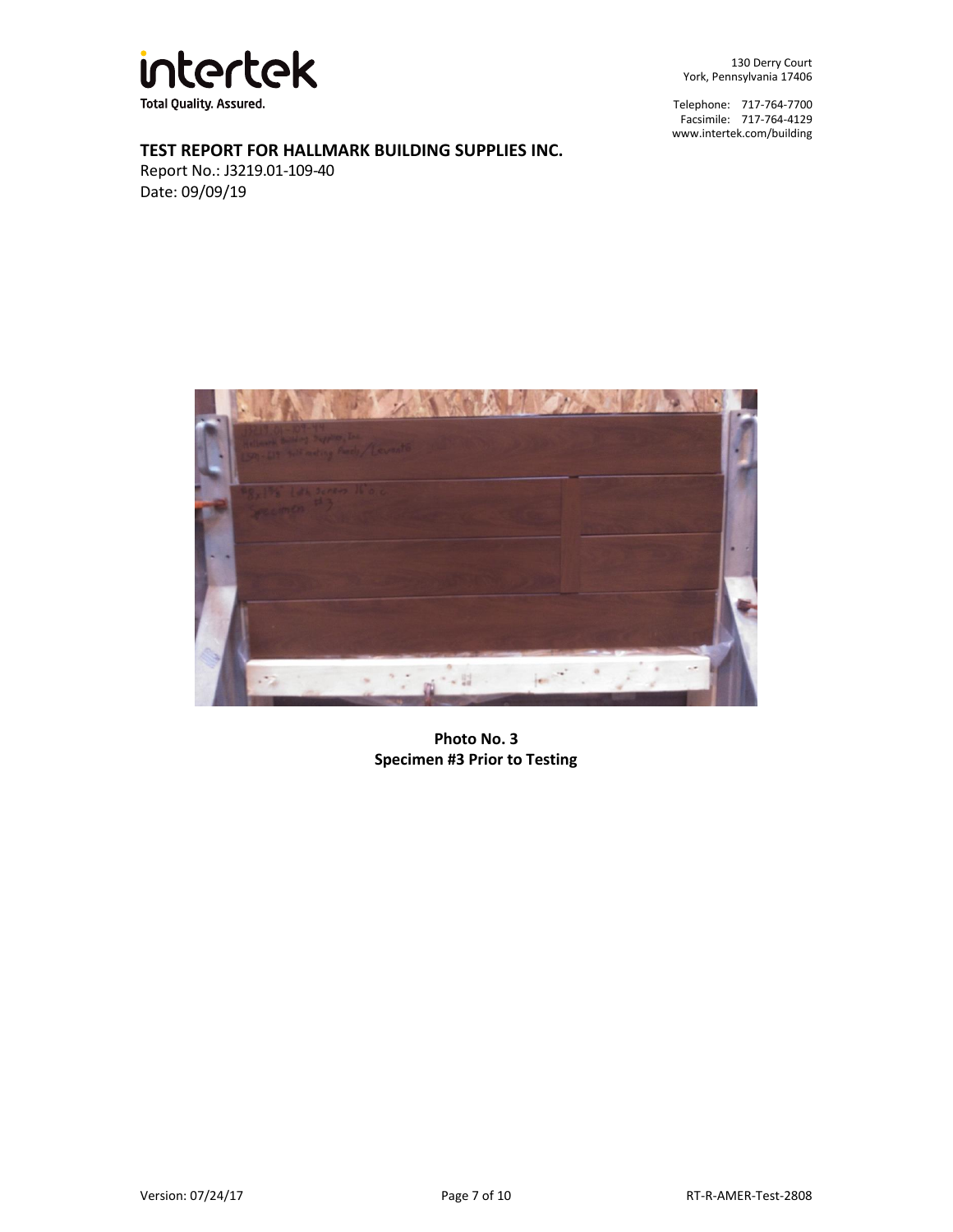

Telephone: 717-764-7700 Facsimile: 717-764-4129 [www.intertek.com/building](http://www.intertek.com/building)

# **TEST REPORT FOR HALLMARK BUILDING SUPPLIES INC.**

Report No.: J3219.01-109-40 Date: 09/09/19



**Photo No. 3 Specimen #3 Prior to Testing**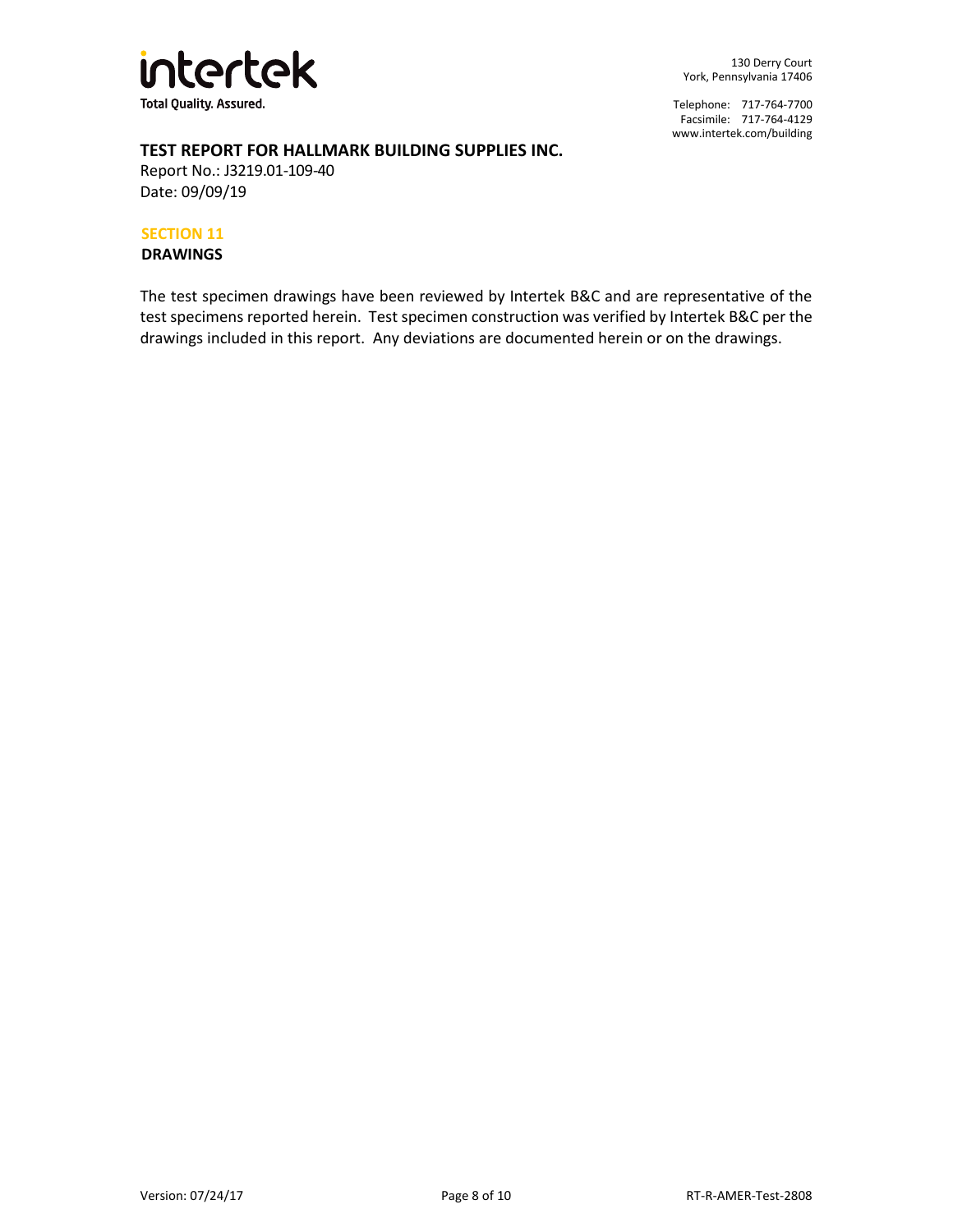

Telephone: 717-764-7700 Facsimile: 717-764-4129 [www.intertek.com/building](http://www.intertek.com/building)

## **TEST REPORT FOR HALLMARK BUILDING SUPPLIES INC.**

Report No.: J3219.01-109-40 Date: 09/09/19

#### **SECTION 11**

**DRAWINGS**

The test specimen drawings have been reviewed by Intertek B&C and are representative of the test specimens reported herein. Test specimen construction was verified by Intertek B&C per the drawings included in this report. Any deviations are documented herein or on the drawings.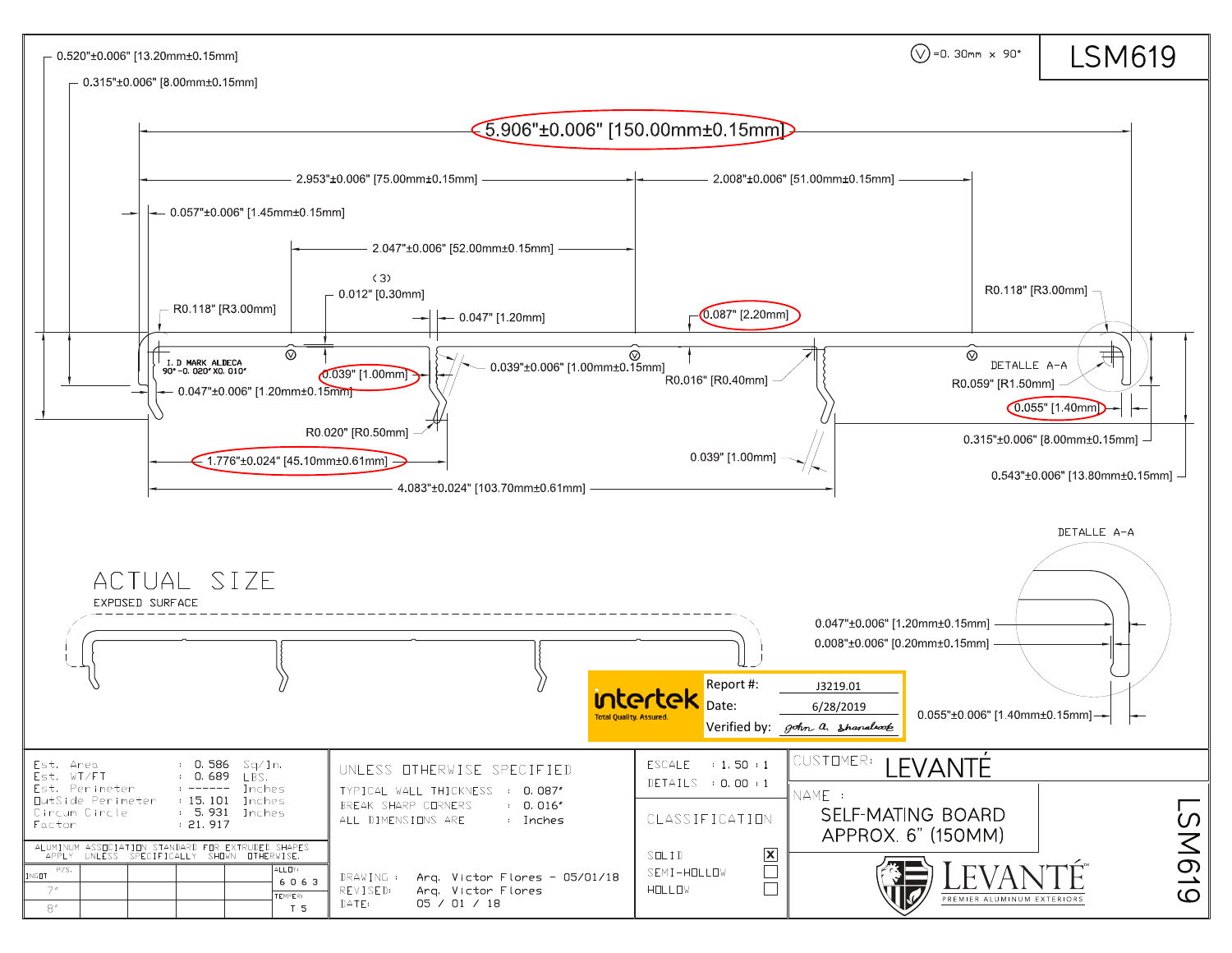